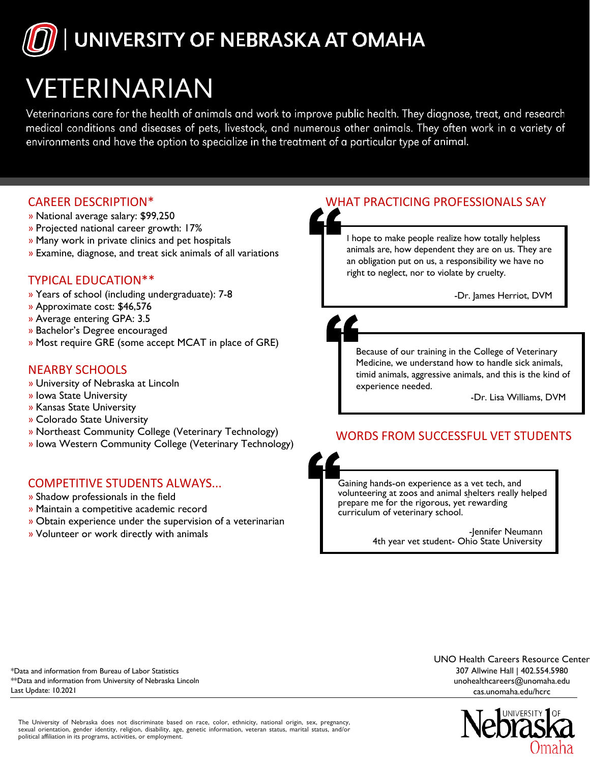# UNIVERSITY OF NEBRASKA AT OMAHA

# VETERINARIAN

Veterinarians care for the health of animals and work to improve public health. They diagnose, treat, and research medical conditions and diseases of pets, livestock, and numerous other animals. They often work in a variety of environments and have the option to specialize in the treatment of a particular type of animal.

# CAREER DESCRIPTION\*

- » National average salary: \$99,250
- » Projected national career growth: 17%
- » Many work in private clinics and pet hospitals
- » Examine, diagnose, and treat sick animals of all variations

# TYPICAL EDUCATION\*\*

- » Years of school (including undergraduate): 7-8
- » Approximate cost: \$46,576
- » Average entering GPA: 3.5
- » Bachelor's Degree encouraged
- » Most require GRE (some accept MCAT in place of GRE)

# NEARBY SCHOOLS

- » University of Nebraska at Lincoln
- » Iowa State University
- » Kansas State University
- » Colorado State University
- » Northeast Community College (Veterinary Technology)
- » Iowa Western Community College (Veterinary Technology)

## COMPETITIVE STUDENTS ALWAYS...

- » Shadow professionals in the field
- » Maintain a competitive academic record
- » Obtain experience under the supervision of a veterinarian
- » Volunteer or work directly with animals

# WHAT PRACTICING PROFESSIONALS SAY

I hope to make people realize how totally helpless animals are, how dependent they are on us. They are an obligation put on us, a responsibility we have no right to neglect, nor to violate by cruelty.

-Dr. James Herriot, DVM

# Because of our training in the College of Veterinary

Medicine, we understand how to handle sick animals, timid animals, aggressive animals, and this is the kind of experience needed.

-Dr. Lisa Williams, DVM

# WORDS FROM SUCCESSFUL VET STUDENTS



-Jennifer Neumann 4th year vet student- Ohio State University

\*Data and information from Bureau of Labor Statistics \*\*Data and information from University of Nebraska Lincoln Last Update: 10.2021

UNO Health Careers Resource Center 307 Allwine Hall | 402.554.5980 unohealthcareers@unomaha.edu cas.unomaha.edu/hcrc



The University of Nebraska does not discriminate based on race, color, ethnicity, national origin, sex, pregnancy, sexual orientation, gender identity, religion, disability, age, genetic information, veteran status, marital status, and/or political affiliation in its programs, activities, or employment.